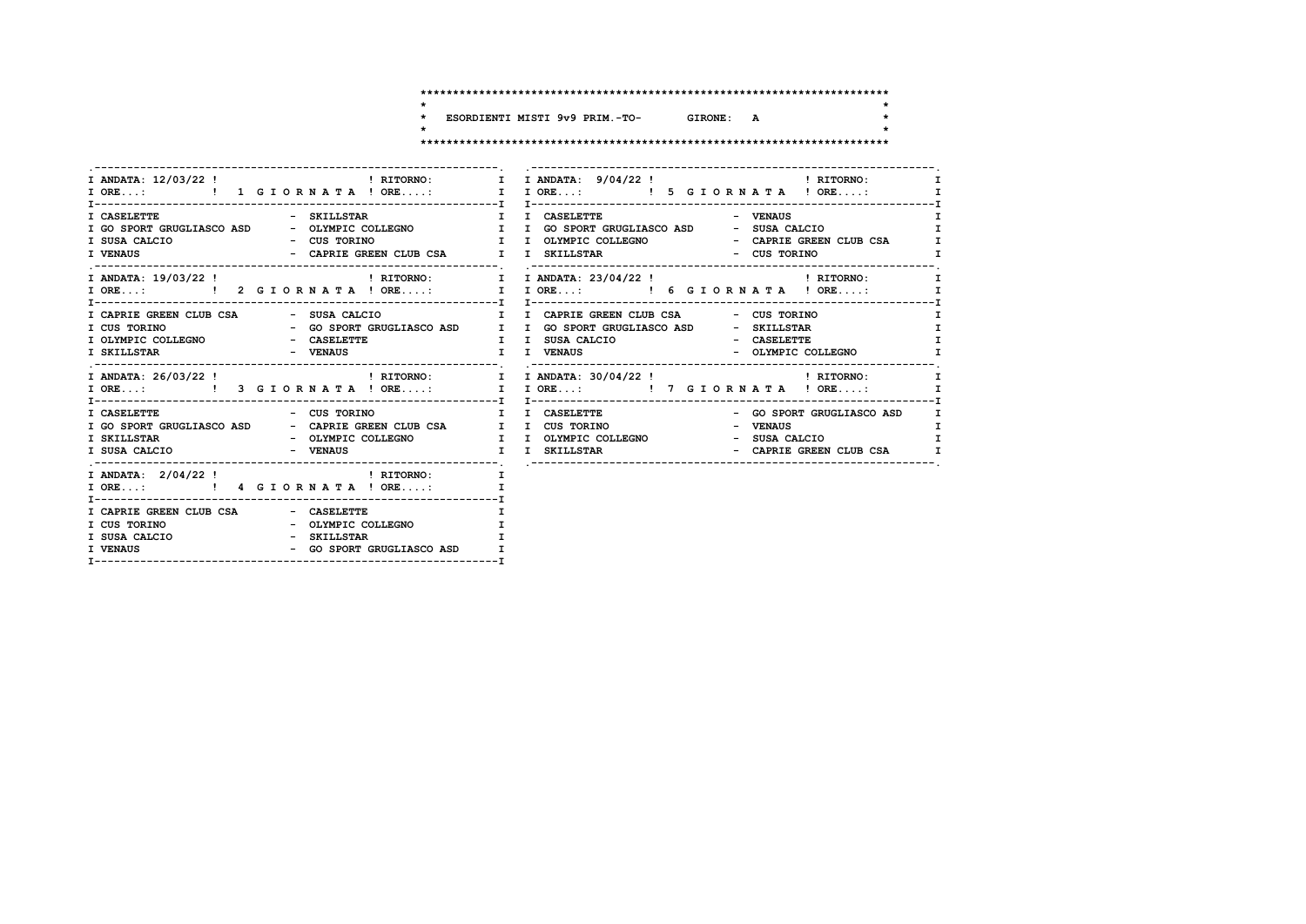$\star$ 

 $\star$ 

 $\star$ 

ESORDIENTI MISTI 9v9 PRIM.-TO-GIRONE: A  $\star$  $\overline{\phantom{a}}$ 

|                                                                                                                           | I ANDATA: 12/03/22! THE PRITORNO: I I ANDATA: 9/04/22! THE PRITORNO:                                                         | $\mathbf{I}$                                 |
|---------------------------------------------------------------------------------------------------------------------------|------------------------------------------------------------------------------------------------------------------------------|----------------------------------------------|
|                                                                                                                           |                                                                                                                              | $\mathbf{T}$<br>$\mathbf{I}$<br>$\mathbf{I}$ |
|                                                                                                                           | I ANDATA: 19/03/22 ! THITORNO: I I ANDATA: 23/04/22 ! THITORNO:                                                              |                                              |
|                                                                                                                           | - CASELETTE<br>- OLYMPIC COLLEGNO                                                                                            | $\mathbf{r}$<br>$\mathbf{I}$<br>I            |
|                                                                                                                           | I ANDATA: 26/03/22! THEORNO: I I ANDATA: 30/04/22! THEORNO:<br>I ORE:  1 ORE:  1 ORE:  1 ORE:  1 ORE:  1 ORE:  1 ORE:  1 ORE | I                                            |
| - CUS TORINO<br>I CASELETTE<br>I GO SPORT GRUGLIASCO ASD - CAPRIE GREEN CLUB CSA I I CUS TORINO<br>I SUSA CALCIO - VENAUS | <b>I</b> I CASELETTE<br>- GO SPORT GRUGLIASCO ASD<br>- VENAUS<br>- SUSA CALCIO<br>- CAPRIE GREEN CLUB CSA<br>I I SKILLSTAR   | I.<br>I<br>I<br>$\mathbf{T}$                 |
| I ANDATA: 2/04/22 !<br>I RITORNO: I<br>I ORE: ! 4 G I OR N A T A ! ORE:                                                   |                                                                                                                              |                                              |
| I CAPRIE GREEN CLUB CSA - CASELETTE<br>I CUS TORINO - OLYMPIC COLLEGNO<br>I SUSA CALCIO - SKILLSTAR                       |                                                                                                                              |                                              |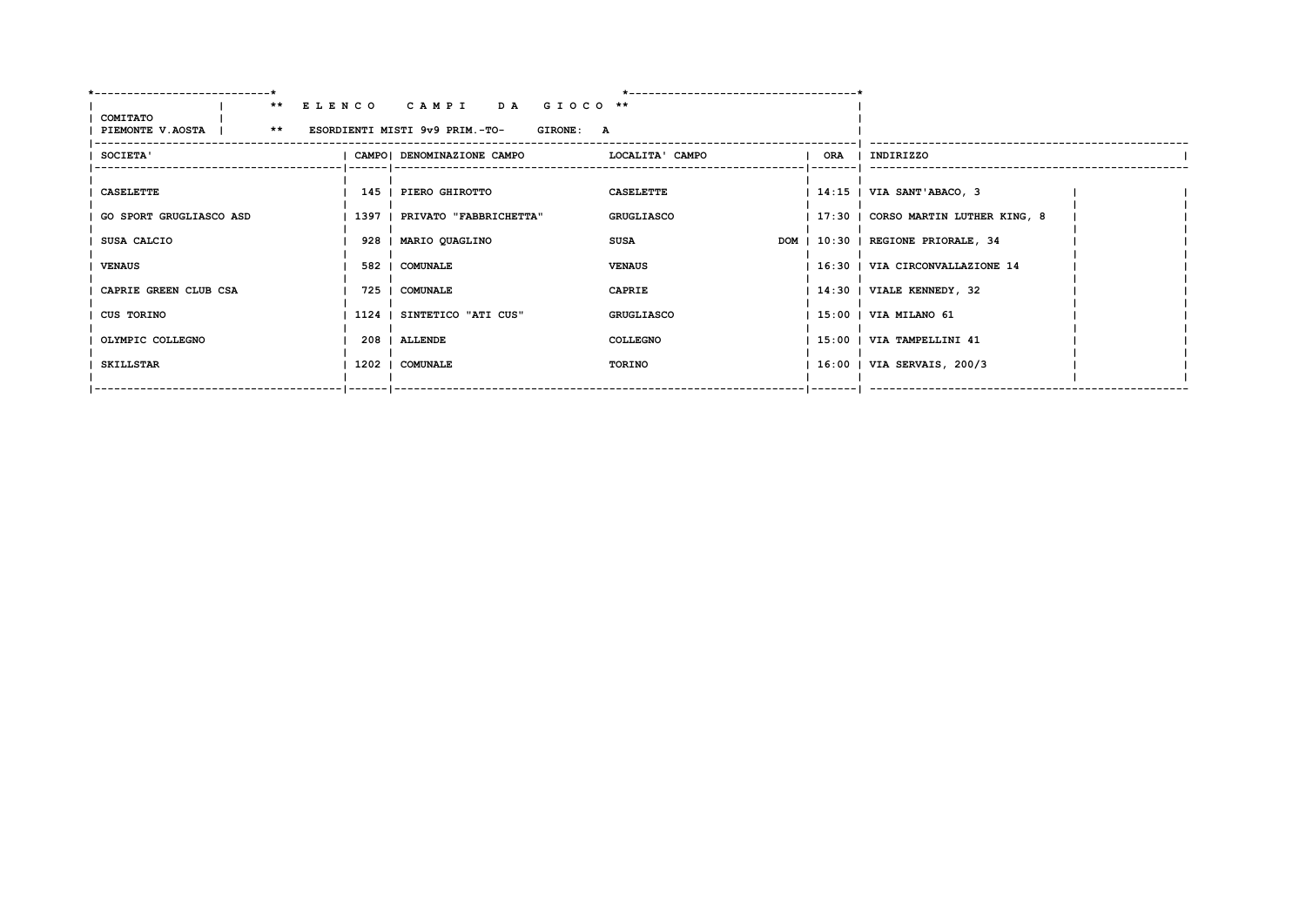|                                                                  | ** ELENCO CAMPI DA GIOCO **                            |                   |                                     |  |
|------------------------------------------------------------------|--------------------------------------------------------|-------------------|-------------------------------------|--|
| COMITATO<br>PIEMONTE V.AOSTA   ** ESORDIENTI MISTI 9v9 PRIM.-TO- | <b>GIRONE: A</b>                                       |                   |                                     |  |
|                                                                  |                                                        |                   |                                     |  |
| <b>SOCIETA'</b>                                                  | CAMPO   DENOMINAZIONE CAMPO           LOCALITA ' CAMPO |                   | ORA   INDIRIZZO                     |  |
|                                                                  |                                                        |                   |                                     |  |
| <b>CASELETTE</b>                                                 | 145   PIERO GHIROTTO                                   | <b>CASELETTE</b>  | 14:15   VIA SANT'ABACO, 3           |  |
| GO SPORT GRUGLIASCO ASD                                          | 1397   PRIVATO "FABBRICHETTA"                          | <b>GRUGLIASCO</b> | 17:30   CORSO MARTIN LUTHER KING, 8 |  |
| SUSA CALCIO                                                      | 928   MARIO QUAGLINO                                   | SUSA              | DOM   10:30   REGIONE PRIORALE, 34  |  |
| <b>VENAUS</b>                                                    | 582   COMUNALE                                         | <b>VENAUS</b>     | 16:30   VIA CIRCONVALLAZIONE 14     |  |
| CAPRIE GREEN CLUB CSA                                            | 725   COMUNALE                                         | <b>CAPRIE</b>     | 14:30   VIALE KENNEDY, 32           |  |
| CUS TORINO                                                       | 1124   SINTETICO "ATI CUS"                             | <b>GRUGLIASCO</b> | 15:00   VIA MILANO 61               |  |
| OLYMPIC COLLEGNO                                                 | 208   ALLENDE                                          | <b>COLLEGNO</b>   | 15:00   VIA TAMPELLINI 41           |  |
| SKILLSTAR                                                        | 1202   COMUNALE                                        | TORINO            | 16:00   VIA SERVAIS, 200/3          |  |
|                                                                  | ______ ______________________                          |                   |                                     |  |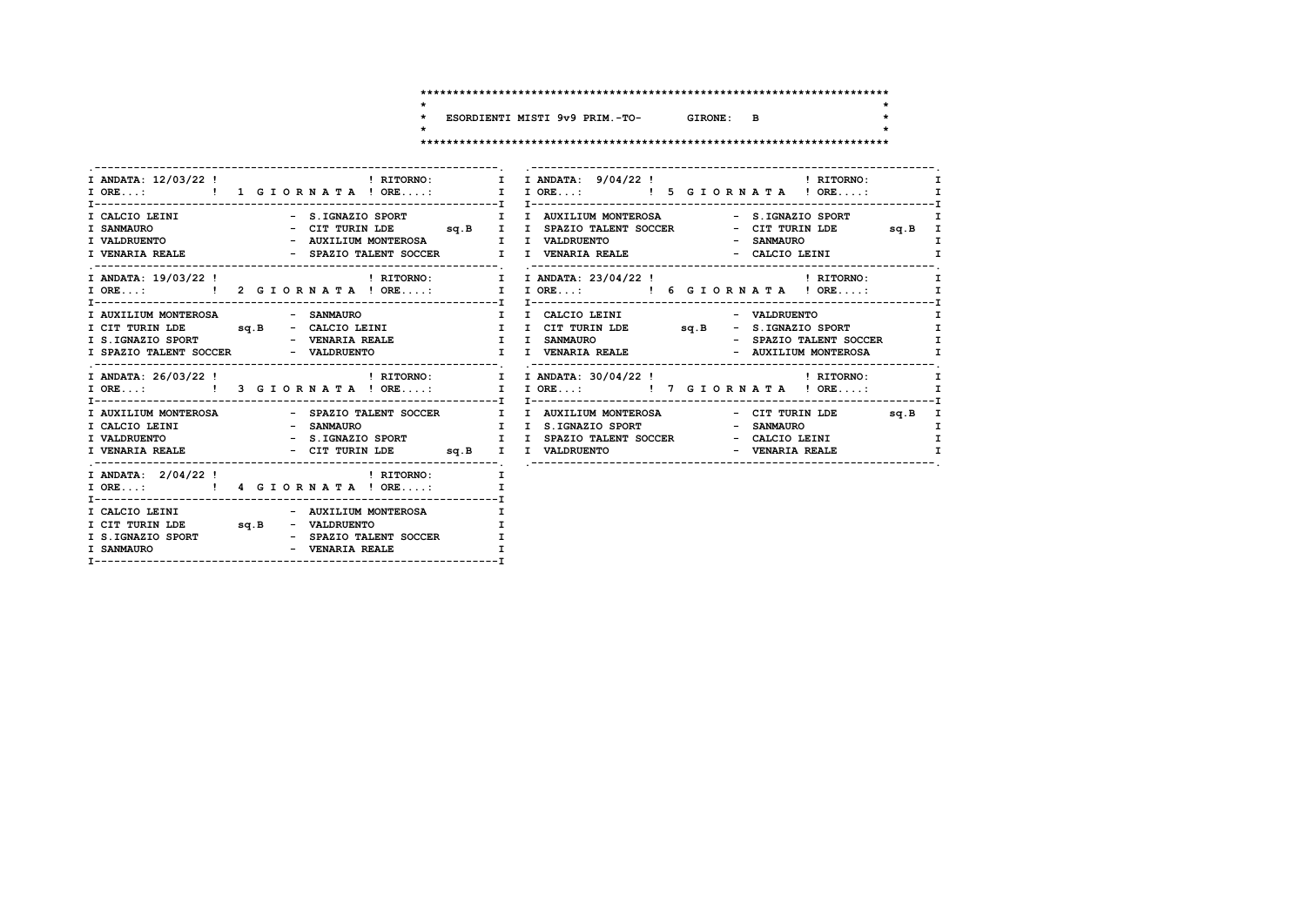$\star$ 

 $\star$ 

 $\star$ 

ESORDIENTI MISTI 9v9 PRIM.-TO- GIRONE: B  $\star$  $\ddot{\phantom{0}}$ 

| <b>I VENARIA REALE</b>                                                                        |                                                             | I<br>- CIT TURIN LDE sq.B I<br>I<br>- SANMAURO<br>- SPAZIO TALENT SOCCER TI I VENARIA REALE THE REACTO LEINI<br>I                                                                                                        |
|-----------------------------------------------------------------------------------------------|-------------------------------------------------------------|--------------------------------------------------------------------------------------------------------------------------------------------------------------------------------------------------------------------------|
|                                                                                               |                                                             | I ORE:  1 I ORE:  1 I ORE:  1 I ORE:  1 I ORE:  1 I ORE:  1 I ORE:  1 I ORE:  1 I ORE<br>I                                                                                                                               |
| I AUXILIUM MONTEROSA                                                                          | - SANMAURO                                                  | I I CALCIO LEINI<br>$\mathbf{I}$<br>- VALDRUENTO<br>I CIT TURIN LDE sq.B - CALCIO LEINI I I CIT TURIN LDE sq.B - S.IGNAZIO SPORT<br>$\mathbf{I}$<br>- SPAZIO TALENT SOCCER<br>$\mathbf{I}$<br>- AUXILIUM MONTEROSA<br>I. |
|                                                                                               |                                                             | . ----------------<br>I ANDATA: 26/03/22! PHORNO: I I ANDATA: 30/04/22! PHORNO: I RITORNO:<br>I                                                                                                                          |
|                                                                                               |                                                             | - CIT TURIN LDE<br>sq.B I<br>I.<br>$\mathbf{I}$<br>I VENARIA REALE - CIT TURIN LDE sq.B I I VALDRUENTO<br>- VENARIA REALE                                                                                                |
| I ORE: ! 4 G I OR N A T A ! ORE:                                                              |                                                             | T.<br>$\mathbf I$                                                                                                                                                                                                        |
| I CALCIO LEINI - AUXILIUM MONTEROSA<br>I CIT TURIN LDE sq.B - VALDRUENTO<br><b>I SANMAURO</b> | I S.IGNAZIO SPORT - SPAZIO TALENT SOCCER<br>- VENARIA REALE |                                                                                                                                                                                                                          |
|                                                                                               |                                                             |                                                                                                                                                                                                                          |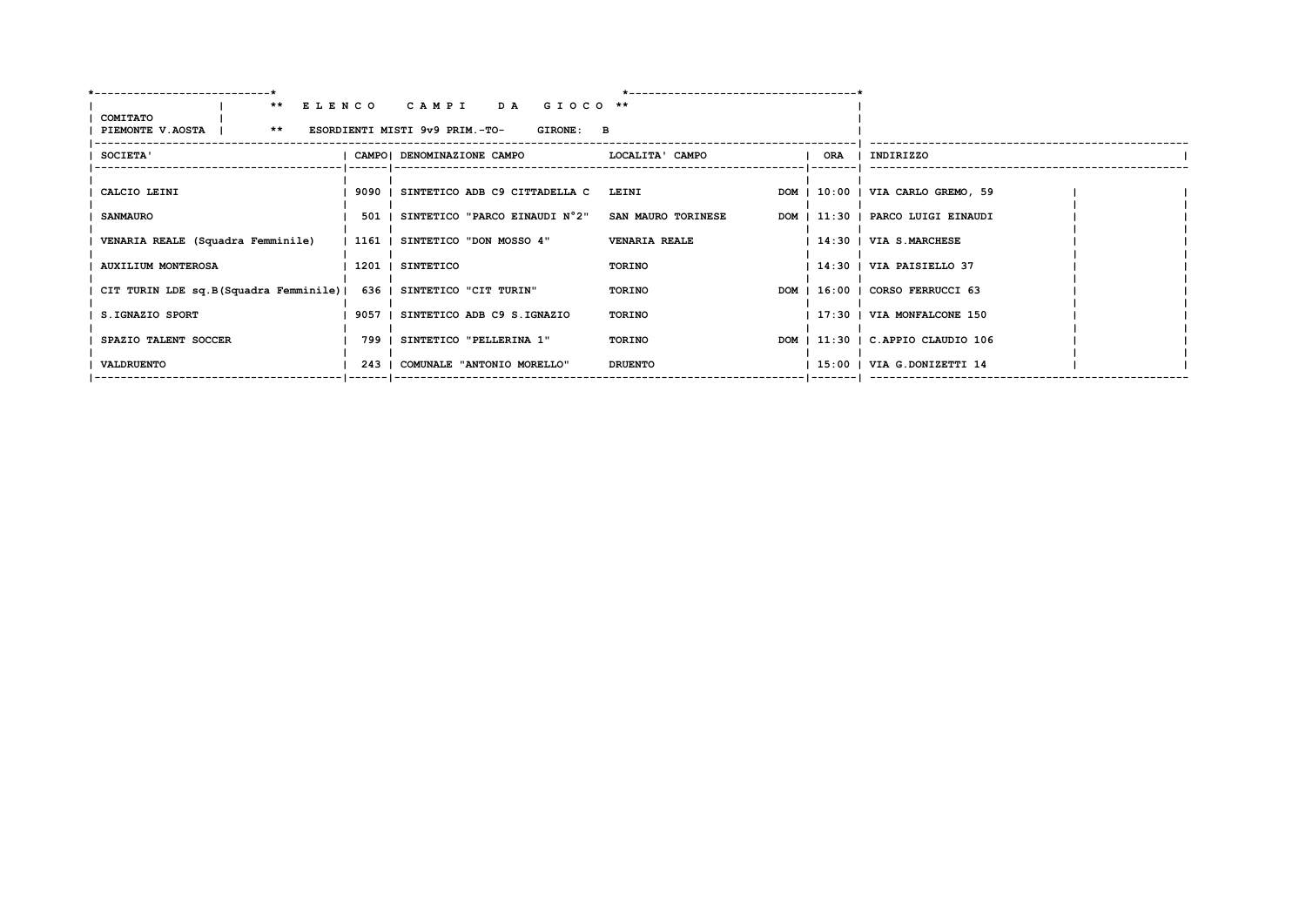|                           |                                                                     | ** ELENCO CAMPI DA GIOCO **                            |                      |     |                                   |  |
|---------------------------|---------------------------------------------------------------------|--------------------------------------------------------|----------------------|-----|-----------------------------------|--|
| COMITATO                  | PIEMONTE V.AOSTA   ** ESORDIENTI MISTI 9v9 PRIM.-TO-                | <b>GIRONE: B</b>                                       |                      |     |                                   |  |
|                           |                                                                     |                                                        |                      |     |                                   |  |
| SOCIETA'                  |                                                                     | CAMPO  DENOMINAZIONE CAMPO                             | LOCALITA' CAMPO      | ORA | INDIRIZZO                         |  |
|                           |                                                                     |                                                        |                      |     |                                   |  |
| CALCIO LEINI              |                                                                     | 9090   SINTETICO ADB C9 CITTADELLA C LEINI             |                      |     | DOM   10:00   VIA CARLO GREMO, 59 |  |
| <b>SANMAURO</b>           |                                                                     | 501   SINTETICO "PARCO EINAUDI N°2" SAN MAURO TORINESE |                      |     | DOM   11:30   PARCO LUIGI EINAUDI |  |
|                           | VENARIA REALE (Squadra Femminile)                                   | 1161   SINTETICO "DON MOSSO 4"                         | <b>VENARIA REALE</b> |     | 14:30   VIA S.MARCHESE            |  |
|                           |                                                                     |                                                        |                      |     |                                   |  |
| <b>AUXILIUM MONTEROSA</b> |                                                                     | 1201   SINTETICO                                       | TORINO               |     | 14:30   VIA PAISIELLO 37          |  |
|                           | CIT TURIN LDE sq.B(Squadra Femminile)   636   SINTETICO "CIT TURIN" |                                                        | <b>TORINO</b>        |     | DOM   16:00   CORSO FERRUCCI 63   |  |
| S.IGNAZIO SPORT           |                                                                     | 9057   SINTETICO ADB C9 S.IGNAZIO                      | TORINO               |     | 17:30   VIA MONFALCONE 150        |  |
|                           |                                                                     |                                                        |                      |     |                                   |  |
| SPAZIO TALENT SOCCER      |                                                                     | 799   SINTETICO "PELLERINA 1"                          | TORINO               |     | DOM   11:30   C.APPIO CLAUDIO 106 |  |
| VALDRUENTO                |                                                                     | 243   COMUNALE "ANTONIO MORELLO"                       | <b>DRUENTO</b>       |     | 15:00   VIA G.DONIZETTI 14        |  |
|                           |                                                                     |                                                        |                      |     |                                   |  |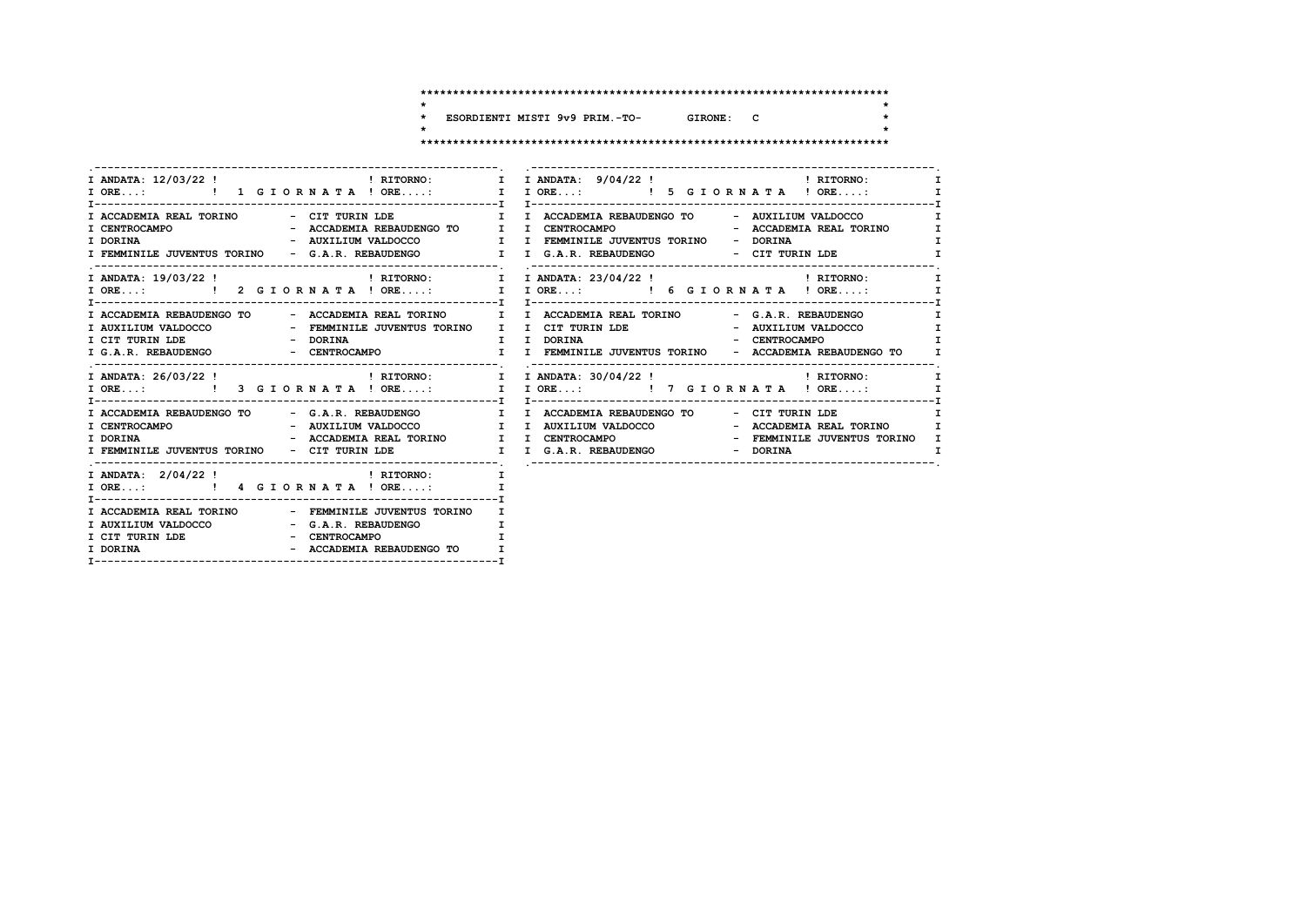$\star$ 

 $\star$ 

 $\star$ 

ESORDIENTI MISTI 9v9 PRIM.-TO- GIRONE: C  $\star$  $\ddot{\phantom{0}}$ 

|                                                                                                                                                                          | I ANDATA: 12/03/22 ! THE PRIORNO: I I ANDATA: 9/04/22 ! THE PRIORNO:                                                                                                                                                                             |
|--------------------------------------------------------------------------------------------------------------------------------------------------------------------------|--------------------------------------------------------------------------------------------------------------------------------------------------------------------------------------------------------------------------------------------------|
|                                                                                                                                                                          |                                                                                                                                                                                                                                                  |
|                                                                                                                                                                          | I ACCADEMIA REAL TORINO - CIT TURIN LDE          I I ACCADEMIA REBAUDENGO TO   - AUXILIUM VALDOCCO<br>$\mathbf{I}$<br>I.<br>$\mathbf I$<br>I FEMMINILE JUVENTUS TORINO - G.A.R. REBAUDENGO I I G.A.R. REBAUDENGO - CIT TURIN LDE<br>$\mathbf{I}$ |
|                                                                                                                                                                          | T                                                                                                                                                                                                                                                |
|                                                                                                                                                                          | I ACCADEMIA REBAUDENGO TO - ACCADEMIA REAL TORINO II I ACCADEMIA REAL TORINO - G.A.R. REBAUDENGO<br>$\mathbf{I}$<br>I AUXILIUM VALDOCCO COMO - FEMMINILE JUVENTUS TORINO I I CIT TURIN LDE COMO - AUXILIUM VALDOCCO<br>$\mathbf{I}$<br>I         |
|                                                                                                                                                                          | I ANDATA: 26/03/22! THITORNO: I I ANDATA: 30/04/22! THITORNO:<br>I                                                                                                                                                                               |
| I ACCADEMIA REBAUDENGO TO - G.A.R. REBAUDENGO     I I ACCADEMIA REBAUDENGO TO                                                                                            | - CIT TURIN LDE                                                                                                                                                                                                                                  |
|                                                                                                                                                                          |                                                                                                                                                                                                                                                  |
| I ACCADEMIA REAL TORINO - FEMMINILE JUVENTUS TORINO<br>I AUXILIUM VALDOCCO - G.A.R. REBAUDENGO<br>I CIT TURIN LDE - CENTROCAMPO<br>- ACCADEMIA REBAUDENGO TO<br>I DORINA | т                                                                                                                                                                                                                                                |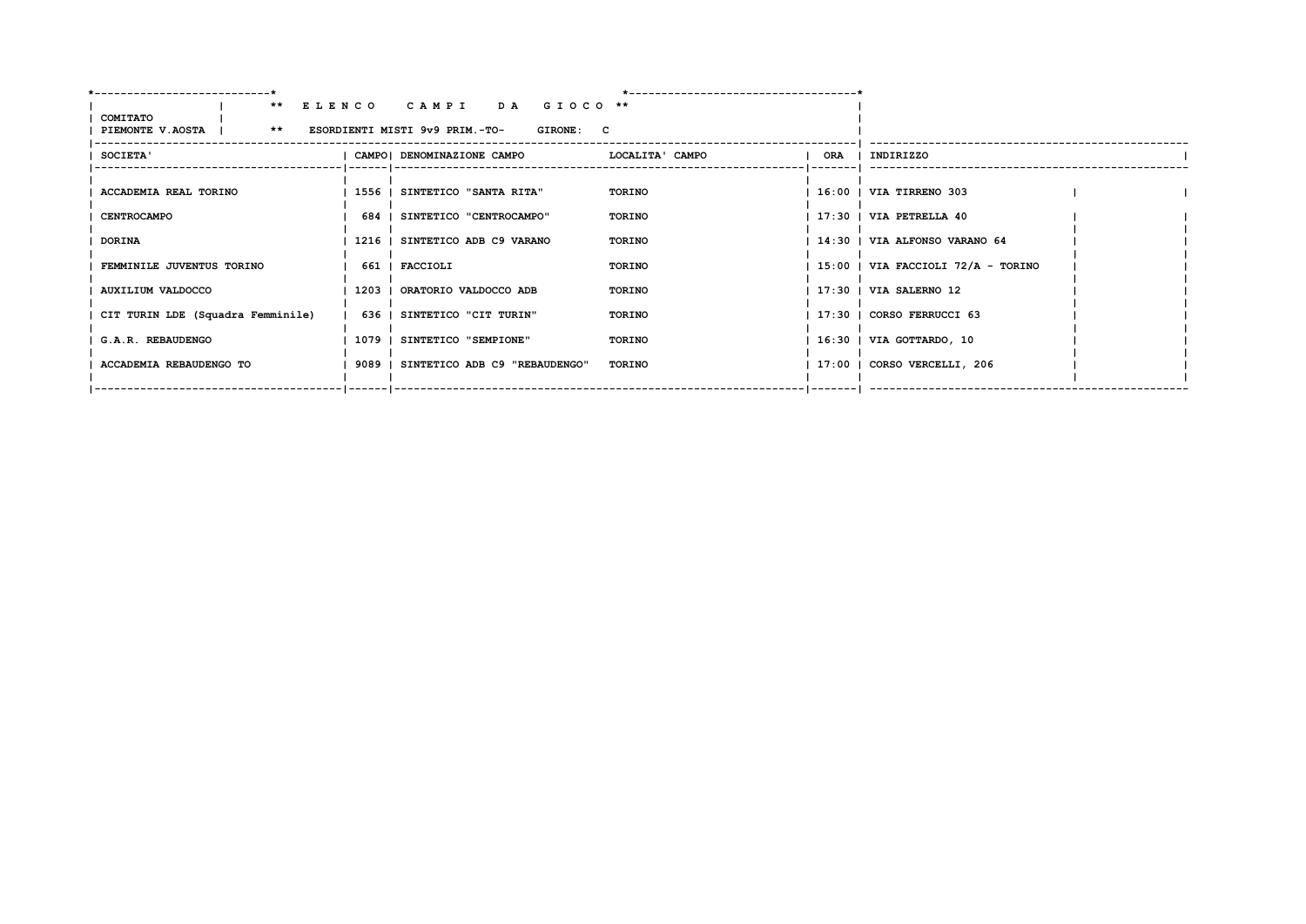| COMITATO                                             | ** ELENCO CAMPI DA GIOCO **                                      |               |                                      |  |
|------------------------------------------------------|------------------------------------------------------------------|---------------|--------------------------------------|--|
| PIEMONTE V.AOSTA   ** ESORDIENTI MISTI 9v9 PRIM.-TO- | <b>GIRONE: C</b>                                                 |               |                                      |  |
| <b>SOCIETA'</b>                                      | CAMPO  DENOMINAZIONE CAMPO                       LOCALITA' CAMPO |               | ORA   INDIRIZZO                      |  |
|                                                      |                                                                  |               |                                      |  |
| ACCADEMIA REAL TORINO                                | 1556   SINTETICO "SANTA RITA"                                    | TORINO        | 16:00   VIA TIRRENO 303              |  |
| <b>CENTROCAMPO</b>                                   | 684   SINTETICO "CENTROCAMPO"                                    | TORINO        | $17:30$   VIA PETRELLA $40$          |  |
| <b>DORINA</b>                                        | 1216   SINTETICO ADB C9 VARANO                                   | TORINO        | 14:30   VIA ALFONSO VARANO 64        |  |
| FEMMINILE JUVENTUS TORINO                            | 661   FACCIOLI                                                   | TORINO        | $15:00$   VIA FACCIOLI 72/A - TORINO |  |
| AUXILIUM VALDOCCO                                    | 1203   ORATORIO VALDOCCO ADB                                     | <b>TORINO</b> | 17:30   VIA SALERNO 12               |  |
| CIT TURIN LDE (Squadra Femminile)                    | 636   SINTETICO "CIT TURIN"                                      | TORINO        | 17:30   CORSO FERRUCCI 63            |  |
| G.A.R. REBAUDENGO                                    | 1079   SINTETICO "SEMPIONE"                                      | <b>TORINO</b> | 16:30   VIA GOTTARDO, 10             |  |
| ACCADEMIA REBAUDENGO TO                              | 9089   SINTETICO ADB C9 "REBAUDENGO"                             | <b>TORINO</b> | 17:00   CORSO VERCELLI, 206          |  |
|                                                      |                                                                  |               |                                      |  |
|                                                      |                                                                  |               |                                      |  |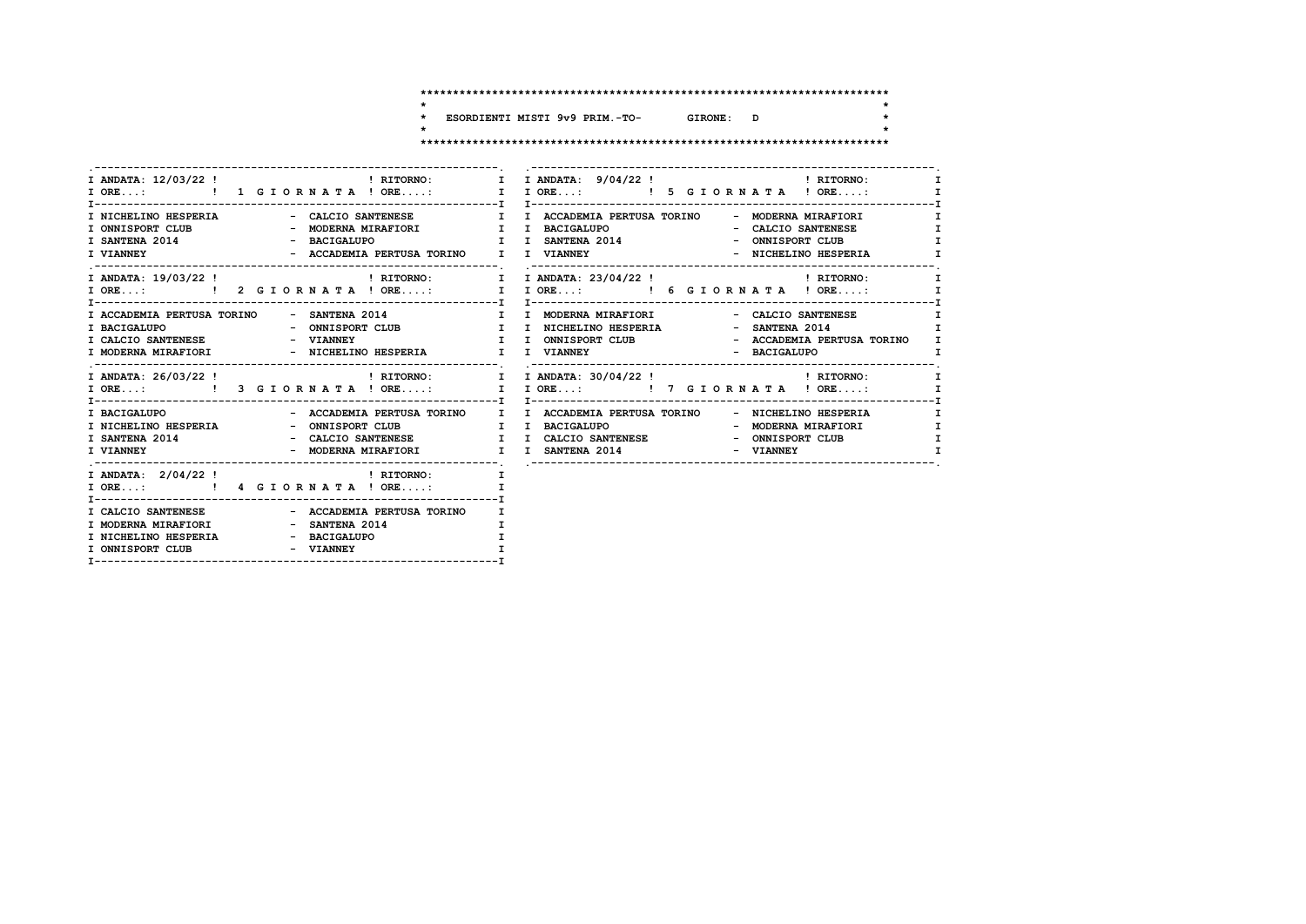$\star$ 

 $\star$ 

 $\star$ 

ESORDIENTI MISTI 9v9 PRIM.-TO- GIRONE: D  $\star$  $\overline{\phantom{a}}$ 

|                                                                                                                                                                        | I ANDATA: 12/03/22! THE PRITORNO: I I ANDATA: 9/04/22! THE PRITORNO:                                                                                                                                                                                       |                                                              |
|------------------------------------------------------------------------------------------------------------------------------------------------------------------------|------------------------------------------------------------------------------------------------------------------------------------------------------------------------------------------------------------------------------------------------------------|--------------------------------------------------------------|
| I NICHELINO HESPERIA                       CALCIO SANTENESE               I   I ACCADEMIA PERTUSA TORINO          MODERNA MIRAFIORI                                    | I SANTENA 2014 - BACIGALUPO I I SANTENA 2014 - ONNISPORT CLUB<br>I VIANNEY - ACCADEMIA PERTUSA TORINO I I VIANNEY - NICHELINO HESPERIA                                                                                                                     | $\mathbf{I}$<br>$\mathbf{I}$<br>$\mathbf{I}$<br>$\mathbf{I}$ |
|                                                                                                                                                                        | I ANDATA: 19/03/22 ! THEORNO: T I ANDATA: 23/04/22 ! THEORNO:                                                                                                                                                                                              | $\mathbf{I}$                                                 |
| I ACCADEMIA PERTUSA TORINO - SANTENA 2014              I I MODERNA MIRAFIORI                                                                                           | - CALCIO SANTENESE<br>T BACIGALUPO<br>T BACIGALUPO - ONNISPORT CLUB – I INICHELINO HESPERIA – SANTENA 2014<br>I CALCIO SANTENESE – VIANNEY – VIANNEY I UNNISPORT CLUB – ACCADEMIA PERTUSA TORINO I<br>I MODERNA MIRAFIORI – NICHELINO HESPERIA I I VIANNEY | $\mathbf{I}$                                                 |
|                                                                                                                                                                        | I ANDATA: 26/03/22! THEORNO: I I ANDATA: 30/04/22! THEORNO: I                                                                                                                                                                                              |                                                              |
|                                                                                                                                                                        | I BACIGALUPO                       ACCADEMIA PERTUSA TORINO     I   ACCADEMIA PERTUSA TORINO       NICHELINO HESPERIA                                                                                                                                      | I<br>$\mathbf{I}$<br>$\mathbf{I}$                            |
| I ORE: ! 4 G I OR N A T A ! ORE:<br>$\mathbf{I}$ and $\mathbf{I}$                                                                                                      |                                                                                                                                                                                                                                                            |                                                              |
| I CALCIO SANTENESE               - ACCADEMIA PERTUSA TORINO<br>I MODERNA MIRAFIORI - SANTENA 2014<br>I NICHELINO HESPERIA $-$ BACIGALUPO<br>I ONNISPORT CLUB - VIANNEY | $\mathbf{I}$                                                                                                                                                                                                                                               |                                                              |